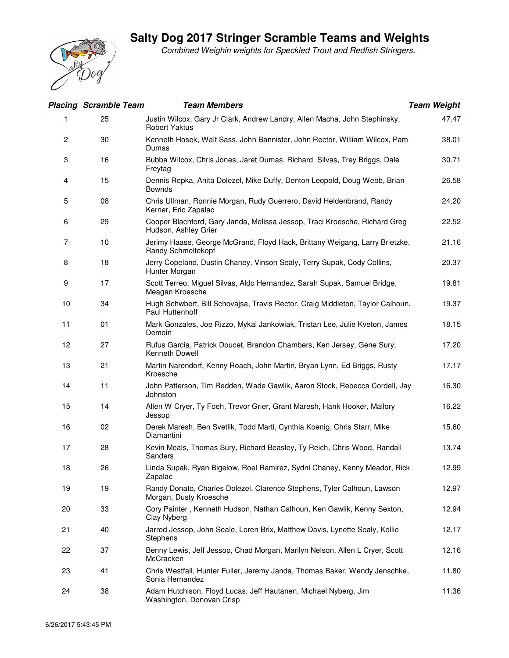## **Salty Dog 2017 Stringer Scramble Teams and Weights**



Combined Weighin weights for Speckled Trout and Redfish Stringers.

|                | <b>Placing Scramble Team</b> | <b>Team Members</b>                                                                                | <b>Team Weight</b> |
|----------------|------------------------------|----------------------------------------------------------------------------------------------------|--------------------|
|                | 25                           | Justin Wilcox, Gary Jr Clark, Andrew Landry, Allen Macha, John Stephinsky,<br><b>Robert Yaktus</b> | 47.47              |
| $\overline{c}$ | 30                           | Kenneth Hosek, Walt Sass, John Bannister, John Rector, William Wilcox, Pam<br>Dumas                | 38.01              |
| 3              | 16                           | Bubba Wilcox, Chris Jones, Jaret Dumas, Richard Silvas, Trey Briggs, Dale<br>Freytag               | 30.71              |
| 4              | 15                           | Dennis Repka, Anita Dolezel, Mike Duffy, Denton Leopold, Doug Webb, Brian<br><b>Bownds</b>         | 26.58              |
| 5              | 08                           | Chris Ullman, Ronnie Morgan, Rudy Guerrero, David Heldenbrand, Randy<br>Kerner, Eric Zapalac       | 24.20              |
| 6              | 29                           | Cooper Blachford, Gary Janda, Melissa Jessop, Traci Kroesche, Richard Greg<br>Hudson, Ashley Grier | 22.52              |
| 7              | 10                           | Jerimy Haase, George McGrand, Floyd Hack, Brittany Weigang, Larry Brietzke,<br>Randy Schmeltekopf  | 21.16              |
| 8              | 18                           | Jerry Copeland, Dustin Chaney, Vinson Sealy, Terry Supak, Cody Collins,<br>Hunter Morgan           | 20.37              |
| 9              | 17                           | Scott Terreo, Miguel Silvas, Aldo Hernandez, Sarah Supak, Samuel Bridge,<br>Meagan Kroesche        | 19.81              |
| 10             | 34                           | Hugh Schwbert, Bill Schovajsa, Travis Rector, Craig Middleton, Taylor Calhoun,<br>Paul Huttenhoff  | 19.37              |
| 11             | 01                           | Mark Gonzales, Joe Rizzo, Mykal Jankowiak, Tristan Lee, Julie Kveton, James<br>Demoin              | 18.15              |
| 12             | 27                           | Rufus Garcia, Patrick Doucet, Brandon Chambers, Ken Jersey, Gene Sury,<br>Kenneth Dowell           | 17.20              |
| 13             | 21                           | Martin Narendorf, Kenny Roach, John Martin, Bryan Lynn, Ed Briggs, Rusty<br>Kroesche               | 17.17              |
| 14             | 11                           | John Patterson, Tim Redden, Wade Gawlik, Aaron Stock, Rebecca Cordell, Jay<br>Johnston             | 16.30              |
| 15             | 14                           | Allen W Cryer, Ty Foeh, Trevor Grier, Grant Maresh, Hank Hooker, Mallory<br>Jessop                 | 16.22              |
| 16             | 02                           | Derek Maresh, Ben Svetlik, Todd Marti, Cynthia Koenig, Chris Starr, Mike<br>Diamantini             | 15.60              |
| 17             | 28                           | Kevin Meals, Thomas Sury, Richard Beasley, Ty Reich, Chris Wood, Randall<br>Sanders                | 13.74              |
| 18             | 26                           | Linda Supak, Ryan Bigelow, Roel Ramirez, Sydni Chaney, Kenny Meador, Rick<br>Zapalac               | 12.99              |
| 19             | 19                           | Randy Donato, Charles Dolezel, Clarence Stephens, Tyler Calhoun, Lawson<br>Morgan, Dusty Kroesche  | 12.97              |
| 20             | 33                           | Cory Painter, Kenneth Hudson, Nathan Calhoun, Ken Gawlik, Kenny Sexton,<br>Clay Nyberg             | 12.94              |
| 21             | 40                           | Jarrod Jessop, John Seale, Loren Brix, Matthew Davis, Lynette Sealy, Kellie<br>Stephens            | 12.17              |
| 22             | 37                           | Benny Lewis, Jeff Jessop, Chad Morgan, Marilyn Nelson, Allen L Cryer, Scott<br>McCracken           | 12.16              |
| 23             | 41                           | Chris Westfall, Hunter Fuller, Jeremy Janda, Thomas Baker, Wendy Jenschke,<br>Sonia Hernandez      | 11.80              |
| 24             | 38                           | Adam Hutchison, Floyd Lucas, Jeff Hautanen, Michael Nyberg, Jim<br>Washington, Donovan Crisp       | 11.36              |